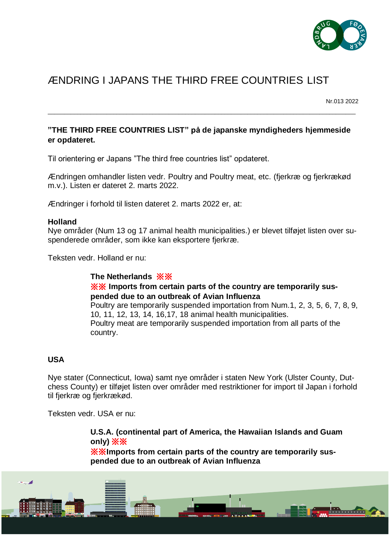

# ÆNDRING I JAPANS THE THIRD FREE COUNTRIES LIST

Nr.013 2022

## **"THE THIRD FREE COUNTRIES LIST" på de japanske myndigheders hjemmeside er opdateret.**

 $\_$  ,  $\_$  ,  $\_$  ,  $\_$  ,  $\_$  ,  $\_$  ,  $\_$  ,  $\_$  ,  $\_$  ,  $\_$  ,  $\_$  ,  $\_$  ,  $\_$  ,  $\_$  ,  $\_$  ,  $\_$  ,  $\_$  ,  $\_$  ,  $\_$  ,  $\_$  ,  $\_$  ,  $\_$  ,  $\_$  ,  $\_$  ,  $\_$  ,  $\_$  ,  $\_$  ,  $\_$  ,  $\_$  ,  $\_$  ,  $\_$  ,  $\_$  ,  $\_$  ,  $\_$  ,  $\_$  ,  $\_$  ,  $\_$  ,

Til orientering er Japans "The third free countries list" opdateret.

Ændringen omhandler listen vedr. Poultry and Poultry meat, etc. (fjerkræ og fjerkrækød m.v.). Listen er dateret 2. marts 2022.

Ændringer i forhold til listen dateret 2. marts 2022 er, at:

#### **Holland**

Nye områder (Num 13 og 17 animal health municipalities.) er blevet tilføjet listen over suspenderede områder, som ikke kan eksportere fjerkræ.

Teksten vedr. Holland er nu:

#### **The Netherlands** ※※

#### ※※ **Imports from certain parts of the country are temporarily suspended due to an outbreak of Avian Influenza**

Poultry are temporarily suspended importation from Num.1, 2, 3, 5, 6, 7, 8, 9, 10, 11, 12, 13, 14, 16,17, 18 animal health municipalities. Poultry meat are temporarily suspended importation from all parts of the country.

### **USA**

Nye stater (Connecticut, Iowa) samt nye områder i staten New York (Ulster County, Dutchess County) er tilføjet listen over områder med restriktioner for import til Japan i forhold til fjerkræ og fjerkrækød.

Teksten vedr. USA er nu:

**U.S.A. (continental part of America, the Hawaiian Islands and Guam only)** ※※

※※**Imports from certain parts of the country are temporarily suspended due to an outbreak of Avian Influenza**